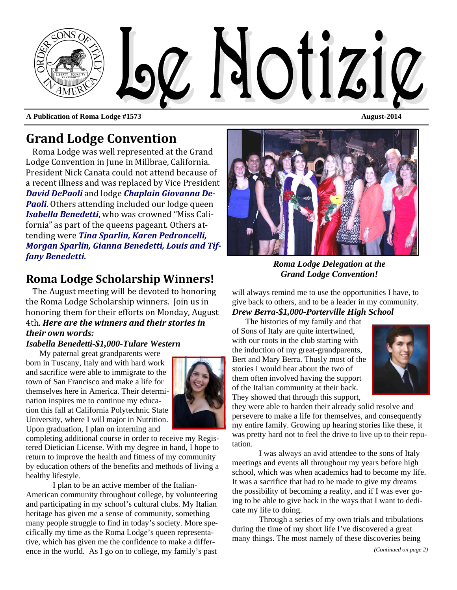

**A Publication of Roma Lodge #1573 August-2014 August-2014** 

# **Grand Lodge Convention**

Roma Lodge was well represented at the Grand Lodge Convention in June in Millbrae, California. President Nick Canata could not attend because of a recent illness and was replaced by Vice President *David DePaoli* and lodge *Chaplain Giovanna De-Paoli*. Others attending included our lodge queen **Isabella Benedetti**, who was crowned "Miss California" as part of the queens pageant. Others attending were *Tina Sparlin, Karen Pedroncelli, Morgan Sparlin, Gianna Benedetti, Louis and Tiffany Benedetti.*

## **Roma Lodge Scholarship Winners!**

The August meeting will be devoted to honoring the Roma Lodge Scholarship winners. Join us in honoring them for their efforts on Monday, August 4th. *Here are the winners and their stories in their own words:*

#### *Isabella Benedetti-\$1,000-Tulare Western*

My paternal great grandparents were born in Tuscany, Italy and with hard work and sacrifice were able to immigrate to the town of San Francisco and make a life for themselves here in America. Their determination inspires me to continue my education this fall at California Polytechnic State University, where I will major in Nutrition. Upon graduation, I plan on interning and



completing additional course in order to receive my Registered Dietician License. With my degree in hand, I hope to return to improve the health and fitness of my community by education others of the benefits and methods of living a healthy lifestyle.

 I plan to be an active member of the Italian-American community throughout college, by volunteering and participating in my school's cultural clubs. My Italian heritage has given me a sense of community, something many people struggle to find in today's society. More specifically my time as the Roma Lodge's queen representative, which has given me the confidence to make a difference in the world. As I go on to college, my family's past

*Roma Lodge Delegation at the Grand Lodge Convention!* 

will always remind me to use the opportunities I have, to give back to others, and to be a leader in my community. *Drew Berra-\$1,000-Porterville High School* 

The histories of my family and that of Sons of Italy are quite intertwined, with our roots in the club starting with the induction of my great-grandparents, Bert and Mary Berra. Thusly most of the stories I would hear about the two of them often involved having the support of the Italian community at their back. They showed that through this support,



they were able to harden their already solid resolve and persevere to make a life for themselves, and consequently my entire family. Growing up hearing stories like these, it was pretty hard not to feel the drive to live up to their reputation.

 I was always an avid attendee to the sons of Italy meetings and events all throughout my years before high school, which was when academics had to become my life. It was a sacrifice that had to be made to give my dreams the possibility of becoming a reality, and if I was ever going to be able to give back in the ways that I want to dedicate my life to doing.

 Through a series of my own trials and tribulations during the time of my short life I've discovered a great many things. The most namely of these discoveries being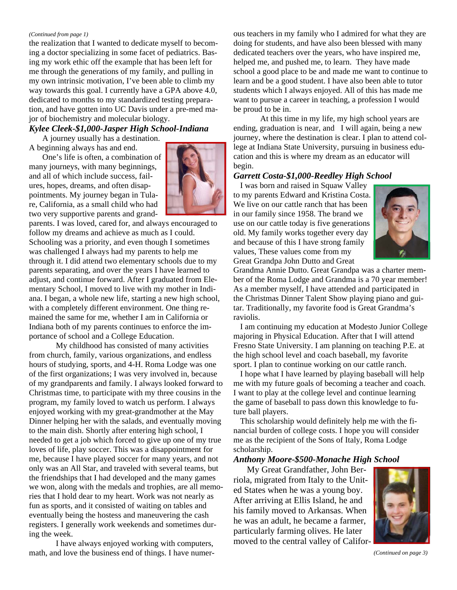#### *(Continued from page 1)*

the realization that I wanted to dedicate myself to becoming a doctor specializing in some facet of pediatrics. Basing my work ethic off the example that has been left for me through the generations of my family, and pulling in my own intrinsic motivation, I've been able to climb my way towards this goal. I currently have a GPA above 4.0, dedicated to months to my standardized testing preparation, and have gotten into UC Davis under a pre-med major of biochemistry and molecular biology.

#### *Kylee Cleek-\$1,000-Jasper High School-Indiana*

A journey usually has a destination. A beginning always has and end.

One's life is often, a combination of many journeys, with many beginnings, and all of which include success, failures, hopes, dreams, and often disappointments. My journey began in Tulare, California, as a small child who had two very supportive parents and grand-



parents. I was loved, cared for, and always encouraged to follow my dreams and achieve as much as I could. Schooling was a priority, and even though I sometimes was challenged I always had my parents to help me through it. I did attend two elementary schools due to my parents separating, and over the years I have learned to adjust, and continue forward. After I graduated from Elementary School, I moved to live with my mother in Indiana. I began, a whole new life, starting a new high school, with a completely different environment. One thing remained the same for me, whether I am in California or Indiana both of my parents continues to enforce the importance of school and a College Education.

 My childhood has consisted of many activities from church, family, various organizations, and endless hours of studying, sports, and 4-H. Roma Lodge was one of the first organizations; I was very involved in, because of my grandparents and family. I always looked forward to Christmas time, to participate with my three cousins in the program, my family loved to watch us perform. I always enjoyed working with my great-grandmother at the May Dinner helping her with the salads, and eventually moving to the main dish. Shortly after entering high school, I needed to get a job which forced to give up one of my true loves of life, play soccer. This was a disappointment for me, because I have played soccer for many years, and not only was an All Star, and traveled with several teams, but the friendships that I had developed and the many games we won, along with the medals and trophies, are all memories that I hold dear to my heart. Work was not nearly as fun as sports, and it consisted of waiting on tables and eventually being the hostess and maneuvering the cash registers. I generally work weekends and sometimes during the week.

 I have always enjoyed working with computers, math, and love the business end of things. I have numerous teachers in my family who I admired for what they are doing for students, and have also been blessed with many dedicated teachers over the years, who have inspired me, helped me, and pushed me, to learn. They have made school a good place to be and made me want to continue to learn and be a good student. I have also been able to tutor students which I always enjoyed. All of this has made me want to pursue a career in teaching, a profession I would be proud to be in.

 At this time in my life, my high school years are ending, graduation is near, and I will again, being a new journey, where the destination is clear. I plan to attend college at Indiana State University, pursuing in business education and this is where my dream as an educator will begin.

#### *Garrett Costa-\$1,000-Reedley High School*

I was born and raised in Squaw Valley to my parents Edward and Kristina Costa. We live on our cattle ranch that has been in our family since 1958. The brand we use on our cattle today is five generations old. My family works together every day and because of this I have strong family values, These values come from my Great Grandpa John Dutto and Great



Grandma Annie Dutto. Great Grandpa was a charter member of the Roma Lodge and Grandma is a 70 year member! As a member myself, I have attended and participated in the Christmas Dinner Talent Show playing piano and guitar. Traditionally, my favorite food is Great Grandma's raviolis.

I am continuing my education at Modesto Junior College majoring in Physical Education. After that I will attend Fresno State University. I am planning on teaching P.E. at the high school level and coach baseball, my favorite sport. I plan to continue working on our cattle ranch.

I hope what I have learned by playing baseball will help me with my future goals of becoming a teacher and coach. I want to play at the college level and continue learning the game of baseball to pass down this knowledge to future ball players.

This scholarship would definitely help me with the financial burden of college costs. I hope you will consider me as the recipient of the Sons of Italy, Roma Lodge scholarship.

#### *Anthony Moore-\$500-Monache High School*

My Great Grandfather, John Berriola, migrated from Italy to the United States when he was a young boy. After arriving at Ellis Island, he and his family moved to Arkansas. When he was an adult, he became a farmer, particularly farming olives. He later moved to the central valley of Califor-



*(Continued on page 3)*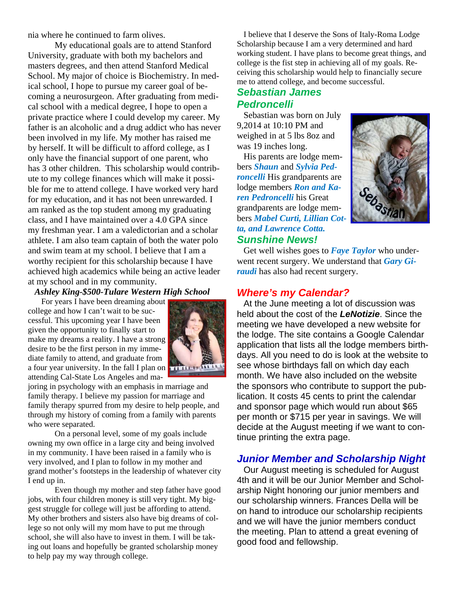nia where he continued to farm olives.

 My educational goals are to attend Stanford University, graduate with both my bachelors and masters degrees, and then attend Stanford Medical School. My major of choice is Biochemistry. In medical school, I hope to pursue my career goal of becoming a neurosurgeon. After graduating from medical school with a medical degree, I hope to open a private practice where I could develop my career. My father is an alcoholic and a drug addict who has never been involved in my life. My mother has raised me by herself. It will be difficult to afford college, as I only have the financial support of one parent, who has 3 other children. This scholarship would contribute to my college finances which will make it possible for me to attend college. I have worked very hard for my education, and it has not been unrewarded. I am ranked as the top student among my graduating class, and I have maintained over a 4.0 GPA since my freshman year. I am a valedictorian and a scholar athlete. I am also team captain of both the water polo and swim team at my school. I believe that I am a worthy recipient for this scholarship because I have achieved high academics while being an active leader at my school and in my community.

### *Ashley King-\$500-Tulare Western High School*

For years I have been dreaming about college and how I can't wait to be successful. This upcoming year I have been given the opportunity to finally start to make my dreams a reality. I have a strong desire to be the first person in my immediate family to attend, and graduate from a four year university. In the fall I plan on  $\frac{1}{\sqrt{1+\frac{1}{\sqrt{1+\frac{1}{\sqrt{1+\frac{1}{\sqrt{1+\frac{1}{\sqrt{1+\frac{1}{\sqrt{1+\frac{1}{\sqrt{1+\frac{1}{\sqrt{1+\frac{1}{\sqrt{1+\frac{1}{\sqrt{1+\frac{1}{\sqrt{1+\frac{1}{\sqrt{1+\frac{1}{\sqrt{1+\frac{1}{\sqrt{1+\frac{1}{\sqrt{1+\frac{1}{\sqrt{1+\frac{1}{\sqrt{1+\frac{1}{\sqrt{1+\frac{1}{\sqrt{1+\frac{$ attending Cal-State Los Angeles and ma-



joring in psychology with an emphasis in marriage and family therapy. I believe my passion for marriage and family therapy spurred from my desire to help people, and through my history of coming from a family with parents who were separated.

 On a personal level, some of my goals include owning my own office in a large city and being involved in my community. I have been raised in a family who is very involved, and I plan to follow in my mother and grand mother's footsteps in the leadership of whatever city I end up in.

 Even though my mother and step father have good jobs, with four children money is still very tight. My biggest struggle for college will just be affording to attend. My other brothers and sisters also have big dreams of college so not only will my mom have to put me through school, she will also have to invest in them. I will be taking out loans and hopefully be granted scholarship money to help pay my way through college.

I believe that I deserve the Sons of Italy-Roma Lodge Scholarship because I am a very determined and hard working student. I have plans to become great things, and college is the fist step in achieving all of my goals. Receiving this scholarship would help to financially secure me to attend college, and become successful.

## *Sebastian James Pedroncelli*

Sebastian was born on July 9,2014 at 10:10 PM and weighed in at 5 lbs 8oz and was 19 inches long.

His parents are lodge members *Shaun* and *Sylvia Pedroncelli* His grandparents are lodge members *Ron and Karen Pedroncelli* his Great grandparents are lodge members *Mabel Curti, Lillian Cotta, and Lawrence Cotta. Sunshine News!* 



Get well wishes goes to *Faye Taylor* who underwent recent surgery. We understand that *Gary Giraudi* has also had recent surgery.

## *Where's my Calendar?*

At the June meeting a lot of discussion was held about the cost of the *LeNotizie*. Since the meeting we have developed a new website for the lodge. The site contains a Google Calendar application that lists all the lodge members birthdays. All you need to do is look at the website to see whose birthdays fall on which day each month. We have also included on the website the sponsors who contribute to support the publication. It costs 45 cents to print the calendar and sponsor page which would run about \$65 per month or \$715 per year in savings. We will decide at the August meeting if we want to continue printing the extra page.

## *Junior Member and Scholarship Night*

Our August meeting is scheduled for August 4th and it will be our Junior Member and Scholarship Night honoring our junior members and our scholarship winners. Frances Della will be on hand to introduce our scholarship recipients and we will have the junior members conduct the meeting. Plan to attend a great evening of good food and fellowship.